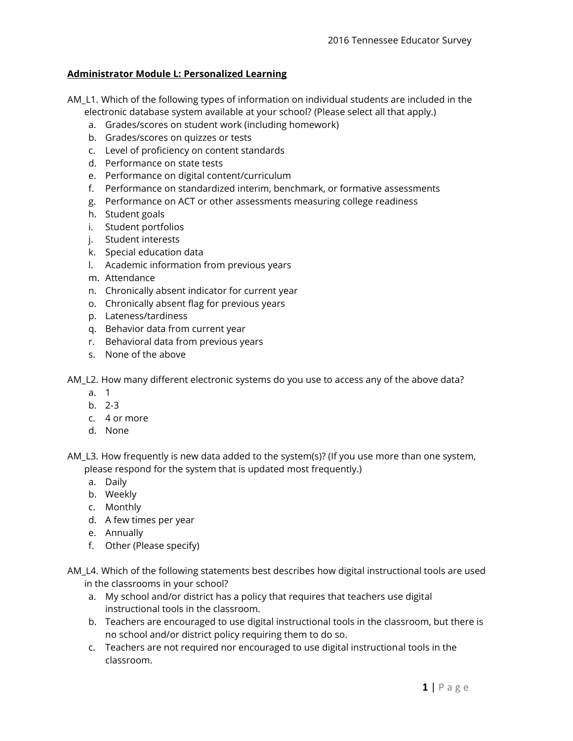## **Administrator Module L: Personalized Learning**

- AM\_L1. Which of the following types of information on individual students are included in the electronic database system available at your school? (Please select all that apply.)
	- a. Grades/scores on student work (including homework)
	- b. Grades/scores on quizzes or tests
	- c. Level of proficiency on content standards
	- d. Performance on state tests
	- e. Performance on digital content/curriculum
	- f. Performance on standardized interim, benchmark, or formative assessments
	- g. Performance on ACT or other assessments measuring college readiness
	- h. Student goals
	- i. Student portfolios
	- j. Student interests
	- k. Special education data
	- l. Academic information from previous years
	- m. Attendance
	- n. Chronically absent indicator for current year
	- o. Chronically absent flag for previous years
	- p. Lateness/tardiness
	- q. Behavior data from current year
	- r. Behavioral data from previous years
	- s. None of the above

AM\_L2. How many different electronic systems do you use to access any of the above data?

- a. 1
- b. 2-3
- c. 4 or more
- d. None

AM\_L3. How frequently is new data added to the system(s)? (If you use more than one system, please respond for the system that is updated most frequently.)

- a. Daily
- b. Weekly
- c. Monthly
- d. A few times per year
- e. Annually
- f. Other (Please specify)
- AM\_L4. Which of the following statements best describes how digital instructional tools are used in the classrooms in your school?
	- a. My school and/or district has a policy that requires that teachers use digital instructional tools in the classroom.
	- b. Teachers are encouraged to use digital instructional tools in the classroom, but there is no school and/or district policy requiring them to do so.
	- c. Teachers are not required nor encouraged to use digital instructional tools in the classroom.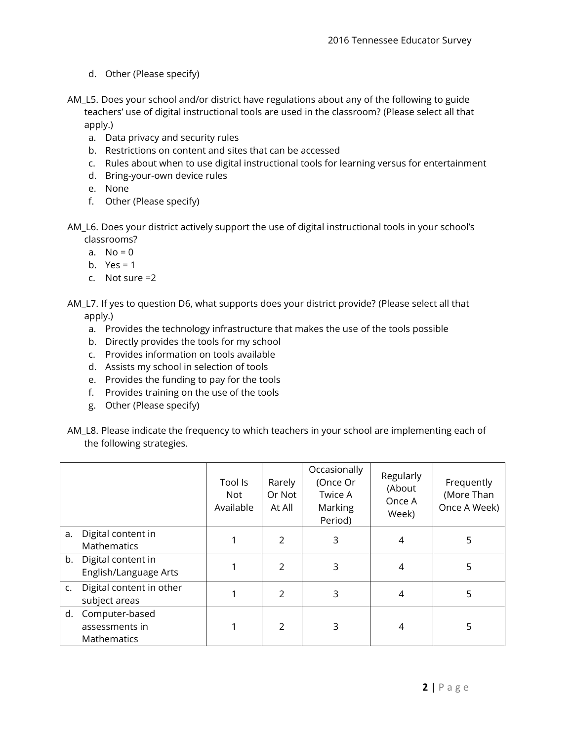- d. Other (Please specify)
- AM\_L5. Does your school and/or district have regulations about any of the following to guide teachers' use of digital instructional tools are used in the classroom? (Please select all that apply.)
	- a. Data privacy and security rules
	- b. Restrictions on content and sites that can be accessed
	- c. Rules about when to use digital instructional tools for learning versus for entertainment
	- d. Bring-your-own device rules
	- e. None
	- f. Other (Please specify)
- AM\_L6. Does your district actively support the use of digital instructional tools in your school's classrooms?
	- a.  $No = 0$
	- b. Yes =  $1$
	- c. Not sure =2
- AM\_L7. If yes to question D6, what supports does your district provide? (Please select all that apply.)
	- a. Provides the technology infrastructure that makes the use of the tools possible
	- b. Directly provides the tools for my school
	- c. Provides information on tools available
	- d. Assists my school in selection of tools
	- e. Provides the funding to pay for the tools
	- f. Provides training on the use of the tools
	- g. Other (Please specify)
- AM\_L8. Please indicate the frequency to which teachers in your school are implementing each of the following strategies.

|                |                                                        | Tool Is<br>Not<br>Available | Rarely<br>Or Not<br>At All | Occasionally<br>(Once Or<br>Twice A<br>Marking<br>Period) | Regularly<br>(About<br>Once A<br>Week) | Frequently<br>(More Than<br>Once A Week) |
|----------------|--------------------------------------------------------|-----------------------------|----------------------------|-----------------------------------------------------------|----------------------------------------|------------------------------------------|
| a.             | Digital content in<br>Mathematics                      |                             | $\mathcal{P}$              | 3                                                         | 4                                      | 5                                        |
| b.             | Digital content in<br>English/Language Arts            |                             | $\mathcal{P}$              | 3                                                         | 4                                      | 5                                        |
| $\mathsf{C}$ . | Digital content in other<br>subject areas              |                             | $\mathcal{P}$              | 3                                                         | 4                                      | 5                                        |
| d.             | Computer-based<br>assessments in<br><b>Mathematics</b> |                             | $\mathcal{P}$              | 3                                                         | 4                                      | 5                                        |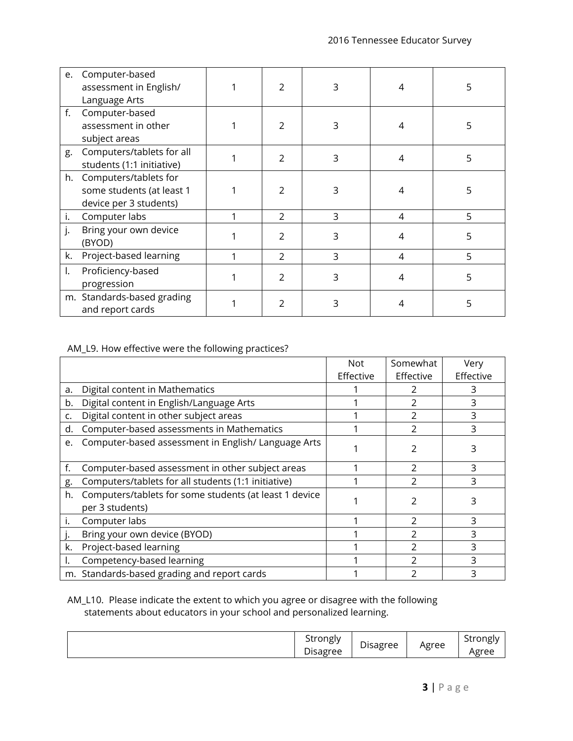| e. | Computer-based<br>assessment in English/<br>Language Arts                    | $\mathfrak{D}$ | 3 | 4 | 5 |
|----|------------------------------------------------------------------------------|----------------|---|---|---|
| f. | Computer-based<br>assessment in other<br>subject areas                       | $\mathfrak{D}$ | 3 | 4 | 5 |
| g. | Computers/tablets for all<br>students (1:1 initiative)                       | 2              | 3 | 4 | 5 |
| h. | Computers/tablets for<br>some students (at least 1<br>device per 3 students) | $\mathfrak{D}$ | 3 | 4 | 5 |
| i. | Computer labs                                                                | $\overline{2}$ | 3 | 4 | 5 |
| j. | Bring your own device<br>(BYOD)                                              | $\overline{2}$ | 3 | 4 | 5 |
| k. | Project-based learning                                                       | $\overline{2}$ | 3 | 4 | 5 |
| I. | Proficiency-based<br>progression                                             | C.             | 3 | 4 | 5 |
|    | m. Standards-based grading<br>and report cards                               | 2              | 3 |   | 5 |

## AM\_L9. How effective were the following practices?

|    |                                                                           | <b>Not</b> | Somewhat  | Very      |
|----|---------------------------------------------------------------------------|------------|-----------|-----------|
|    |                                                                           | Effective  | Effective | Effective |
| a. | Digital content in Mathematics                                            |            |           |           |
| b. | Digital content in English/Language Arts                                  |            |           | 3         |
| c. | Digital content in other subject areas                                    |            |           | 3         |
| d. | Computer-based assessments in Mathematics                                 |            | 2         | 3         |
| e. | Computer-based assessment in English/ Language Arts                       |            | 2         | 3         |
| f. | Computer-based assessment in other subject areas                          |            |           | 3         |
| g. | Computers/tablets for all students (1:1 initiative)                       |            |           | 3         |
| h. | Computers/tablets for some students (at least 1 device<br>per 3 students) |            | 2         | 3         |
|    | Computer labs                                                             |            | C         | 3         |
|    | Bring your own device (BYOD)                                              |            |           | 3         |
| k. | Project-based learning                                                    |            |           | 3         |
|    | Competency-based learning                                                 |            | 2         | ς         |
|    | m. Standards-based grading and report cards                               |            |           | 3         |

## AM\_L10. Please indicate the extent to which you agree or disagree with the following statements about educators in your school and personalized learning.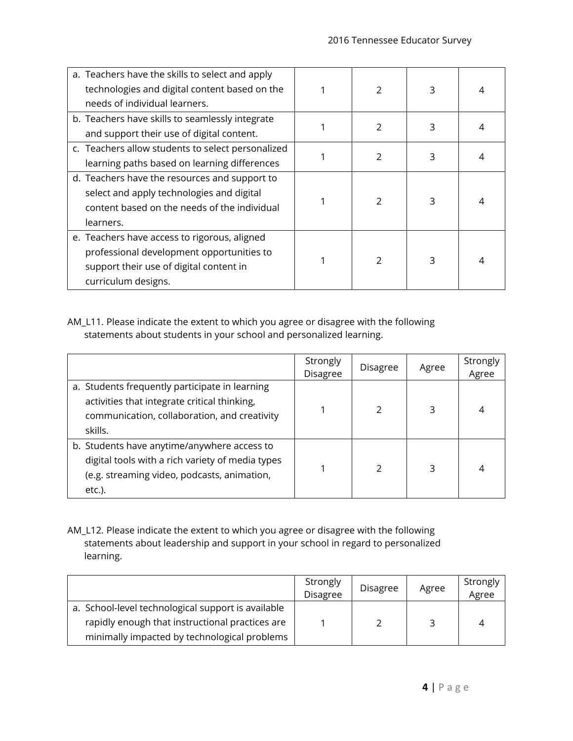| a. Teachers have the skills to select and apply   |  |                |   |  |
|---------------------------------------------------|--|----------------|---|--|
| technologies and digital content based on the     |  |                | 3 |  |
| needs of individual learners.                     |  |                |   |  |
| b. Teachers have skills to seamlessly integrate   |  |                |   |  |
| and support their use of digital content.         |  | $\mathfrak{D}$ | 3 |  |
| c. Teachers allow students to select personalized |  |                |   |  |
| learning paths based on learning differences      |  | C.             | 3 |  |
| d. Teachers have the resources and support to     |  |                |   |  |
| select and apply technologies and digital         |  | $\mathfrak{D}$ | 3 |  |
| content based on the needs of the individual      |  |                |   |  |
| learners.                                         |  |                |   |  |
| e. Teachers have access to rigorous, aligned      |  |                |   |  |
| professional development opportunities to         |  | 2              | 3 |  |
| support their use of digital content in           |  |                |   |  |
| curriculum designs.                               |  |                |   |  |

AM\_L11. Please indicate the extent to which you agree or disagree with the following statements about students in your school and personalized learning.

|                                                                                                                                                             | Strongly<br>Disagree | <b>Disagree</b> | Agree | Strongly<br>Agree |
|-------------------------------------------------------------------------------------------------------------------------------------------------------------|----------------------|-----------------|-------|-------------------|
| a. Students frequently participate in learning<br>activities that integrate critical thinking,<br>communication, collaboration, and creativity<br>skills.   |                      |                 | 3     | 4                 |
| b. Students have anytime/anywhere access to<br>digital tools with a rich variety of media types<br>(e.g. streaming video, podcasts, animation,<br>$etc.$ ). |                      |                 | 3     | 4                 |

AM\_L12. Please indicate the extent to which you agree or disagree with the following statements about leadership and support in your school in regard to personalized learning.

|                                                    | Strongly<br><b>Disagree</b> | <b>Disagree</b> | Agree | Strongly<br>Agree |
|----------------------------------------------------|-----------------------------|-----------------|-------|-------------------|
| a. School-level technological support is available |                             |                 |       |                   |
| rapidly enough that instructional practices are    |                             |                 | ς     | 4                 |
| minimally impacted by technological problems       |                             |                 |       |                   |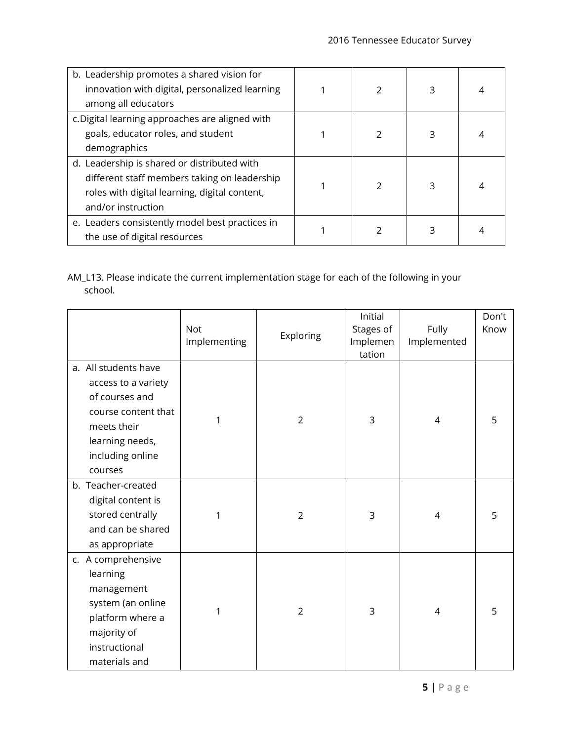| b. Leadership promotes a shared vision for      |  |  |  |
|-------------------------------------------------|--|--|--|
| innovation with digital, personalized learning  |  |  |  |
| among all educators                             |  |  |  |
| c. Digital learning approaches are aligned with |  |  |  |
| goals, educator roles, and student              |  |  |  |
| demographics                                    |  |  |  |
| d. Leadership is shared or distributed with     |  |  |  |
| different staff members taking on leadership    |  |  |  |
| roles with digital learning, digital content,   |  |  |  |
| and/or instruction                              |  |  |  |
| e. Leaders consistently model best practices in |  |  |  |
| the use of digital resources                    |  |  |  |

AM\_L13. Please indicate the current implementation stage for each of the following in your school.

|                                                                                                                                                       | <b>Not</b><br>Implementing | Exploring      | Initial<br>Stages of<br>Implemen<br>tation | Fully<br>Implemented | Don't<br>Know |
|-------------------------------------------------------------------------------------------------------------------------------------------------------|----------------------------|----------------|--------------------------------------------|----------------------|---------------|
| a. All students have<br>access to a variety<br>of courses and<br>course content that<br>meets their<br>learning needs,<br>including online<br>courses | 1                          | $\overline{2}$ | 3                                          | 4                    | 5             |
| b. Teacher-created<br>digital content is<br>stored centrally<br>and can be shared<br>as appropriate                                                   | 1                          | $\overline{2}$ | 3                                          | 4                    | 5             |
| c. A comprehensive<br>learning<br>management<br>system (an online<br>platform where a<br>majority of<br>instructional<br>materials and                | 1                          | $\overline{2}$ | 3                                          | 4                    | 5             |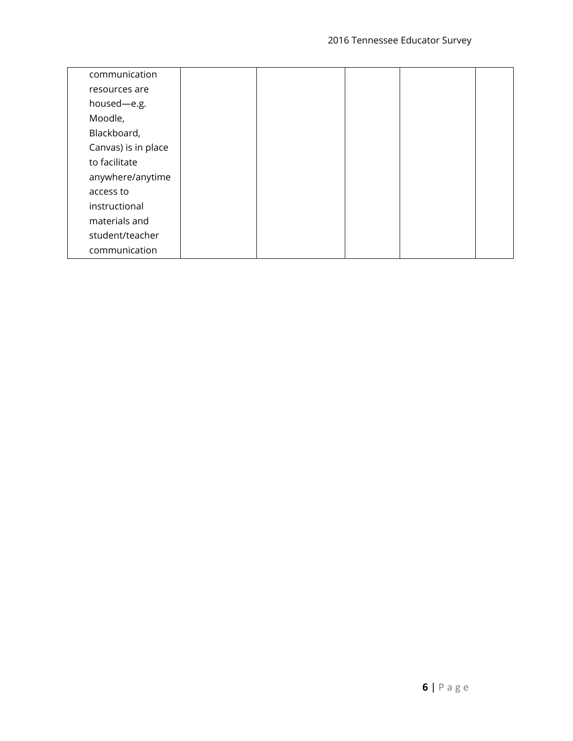| communication       |  |  |  |
|---------------------|--|--|--|
| resources are       |  |  |  |
| housed-e.g.         |  |  |  |
| Moodle,             |  |  |  |
| Blackboard,         |  |  |  |
| Canvas) is in place |  |  |  |
| to facilitate       |  |  |  |
| anywhere/anytime    |  |  |  |
| access to           |  |  |  |
| instructional       |  |  |  |
| materials and       |  |  |  |
| student/teacher     |  |  |  |
| communication       |  |  |  |